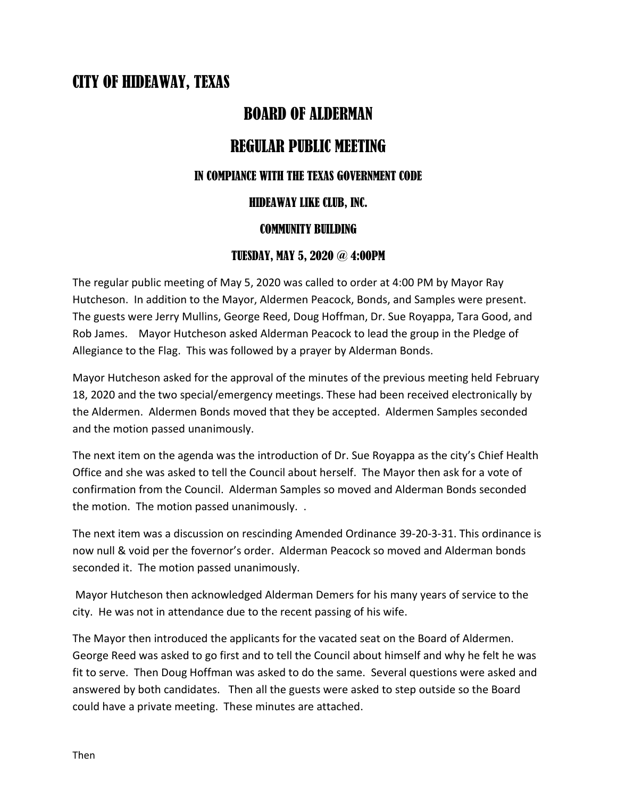# CITY OF HIDEAWAY, TEXAS

### BOARD OF ALDERMAN

## REGULAR PUBLIC MEETING

#### IN COMPIANCE WITH THE TEXAS GOVERNMENT CODE

#### HIDEAWAY LIKE CLUB, INC.

#### COMMUNITY BUILDING

#### TUESDAY, MAY 5, 2020 @ 4:00PM

The regular public meeting of May 5, 2020 was called to order at 4:00 PM by Mayor Ray Hutcheson. In addition to the Mayor, Aldermen Peacock, Bonds, and Samples were present. The guests were Jerry Mullins, George Reed, Doug Hoffman, Dr. Sue Royappa, Tara Good, and Rob James. Mayor Hutcheson asked Alderman Peacock to lead the group in the Pledge of Allegiance to the Flag. This was followed by a prayer by Alderman Bonds.

Mayor Hutcheson asked for the approval of the minutes of the previous meeting held February 18, 2020 and the two special/emergency meetings. These had been received electronically by the Aldermen. Aldermen Bonds moved that they be accepted. Aldermen Samples seconded and the motion passed unanimously.

The next item on the agenda was the introduction of Dr. Sue Royappa as the city's Chief Health Office and she was asked to tell the Council about herself. The Mayor then ask for a vote of confirmation from the Council. Alderman Samples so moved and Alderman Bonds seconded the motion. The motion passed unanimously. .

The next item was a discussion on rescinding Amended Ordinance 39-20-3-31. This ordinance is now null & void per the fovernor's order. Alderman Peacock so moved and Alderman bonds seconded it. The motion passed unanimously.

Mayor Hutcheson then acknowledged Alderman Demers for his many years of service to the city. He was not in attendance due to the recent passing of his wife.

The Mayor then introduced the applicants for the vacated seat on the Board of Aldermen. George Reed was asked to go first and to tell the Council about himself and why he felt he was fit to serve. Then Doug Hoffman was asked to do the same. Several questions were asked and answered by both candidates. Then all the guests were asked to step outside so the Board could have a private meeting. These minutes are attached.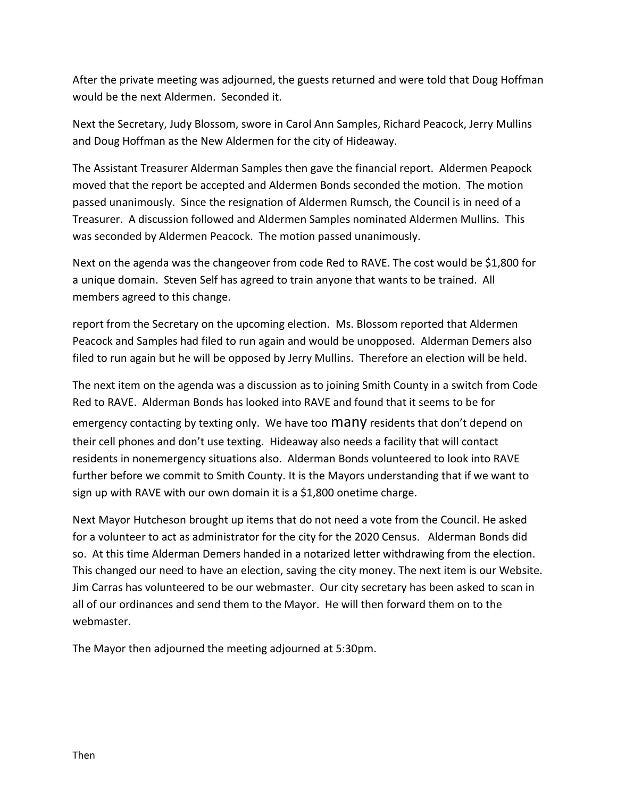After the private meeting was adjourned, the guests returned and were told that Doug Hoffman would be the next Aldermen. Seconded it.

Next the Secretary, Judy Blossom, swore in Carol Ann Samples, Richard Peacock, Jerry Mullins and Doug Hoffman as the New Aldermen for the city of Hideaway.

The Assistant Treasurer Alderman Samples then gave the financial report. Aldermen Peapock moved that the report be accepted and Aldermen Bonds seconded the motion. The motion passed unanimously. Since the resignation of Aldermen Rumsch, the Council is in need of a Treasurer. A discussion followed and Aldermen Samples nominated Aldermen Mullins. This was seconded by Aldermen Peacock. The motion passed unanimously.

Next on the agenda was the changeover from code Red to RAVE. The cost would be \$1,800 for a unique domain. Steven Self has agreed to train anyone that wants to be trained. All members agreed to this change.

report from the Secretary on the upcoming election. Ms. Blossom reported that Aldermen Peacock and Samples had filed to run again and would be unopposed. Alderman Demers also filed to run again but he will be opposed by Jerry Mullins. Therefore an election will be held.

The next item on the agenda was a discussion as to joining Smith County in a switch from Code Red to RAVE. Alderman Bonds has looked into RAVE and found that it seems to be for emergency contacting by texting only. We have too Many residents that don't depend on their cell phones and don't use texting. Hideaway also needs a facility that will contact residents in nonemergency situations also. Alderman Bonds volunteered to look into RAVE further before we commit to Smith County. It is the Mayors understanding that if we want to sign up with RAVE with our own domain it is a \$1,800 onetime charge.

Next Mayor Hutcheson brought up items that do not need a vote from the Council. He asked for a volunteer to act as administrator for the city for the 2020 Census. Alderman Bonds did so. At this time Alderman Demers handed in a notarized letter withdrawing from the election. This changed our need to have an election, saving the city money. The next item is our Website. Jim Carras has volunteered to be our webmaster. Our city secretary has been asked to scan in all of our ordinances and send them to the Mayor. He will then forward them on to the webmaster.

The Mayor then adjourned the meeting adjourned at 5:30pm.